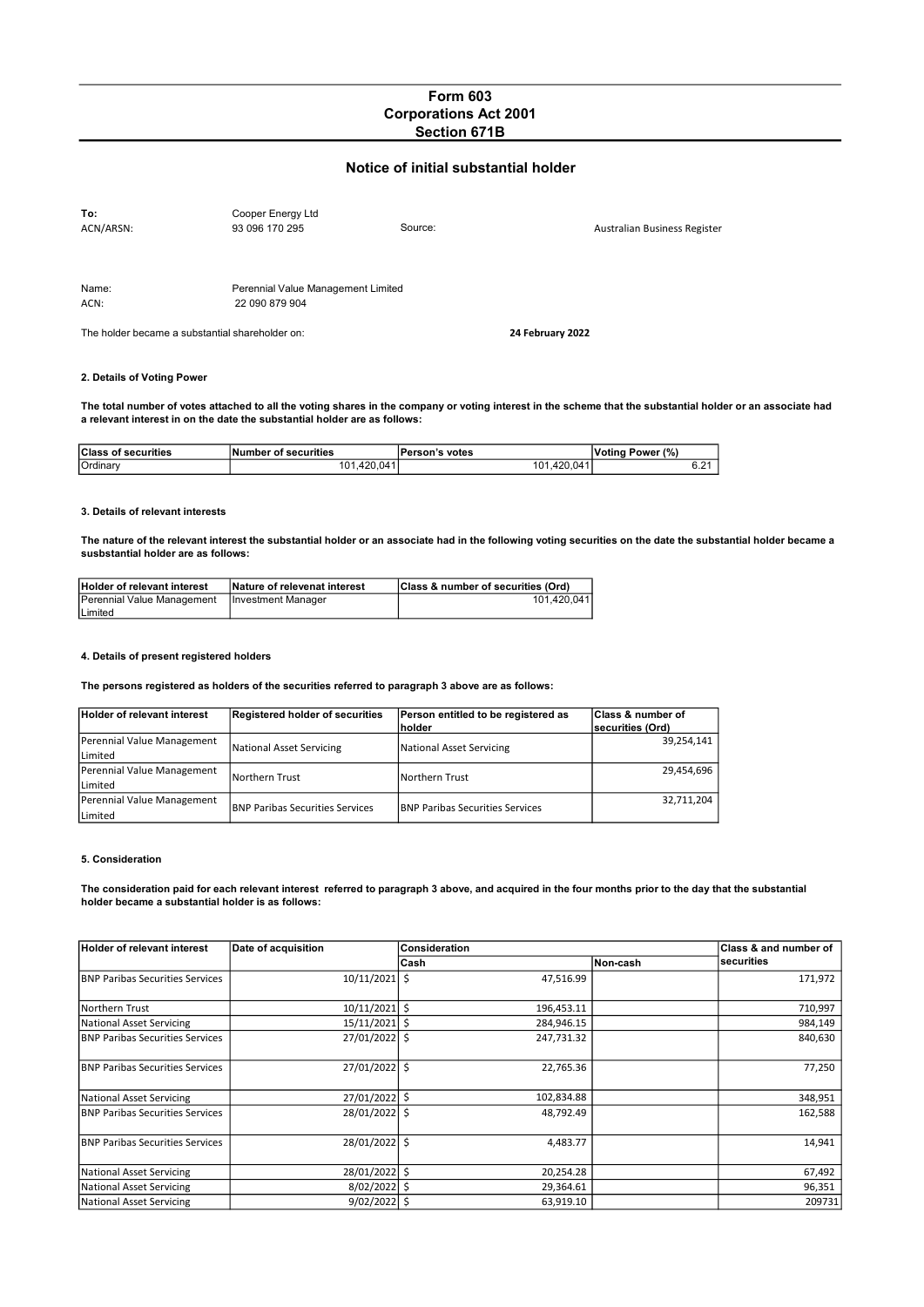# Form 603 Corporations Act 2001 Section 671B

## Notice of initial substantial holder

| To:                                             | Cooper Energy Ltd                  |         |                  |                              |
|-------------------------------------------------|------------------------------------|---------|------------------|------------------------------|
| ACN/ARSN:                                       | 93 096 170 295                     | Source: |                  | Australian Business Register |
|                                                 |                                    |         |                  |                              |
|                                                 |                                    |         |                  |                              |
|                                                 |                                    |         |                  |                              |
| Name:                                           | Perennial Value Management Limited |         |                  |                              |
| ACN:                                            | 22 090 879 904                     |         |                  |                              |
|                                                 |                                    |         |                  |                              |
| The holder became a substantial shareholder on: |                                    |         | 24 February 2022 |                              |

### 2. Details of Voting Power

The total number of votes attached to all the voting shares in the company or voting interest in the scheme that the substantial holder or an associate had a relevant interest in on the date the substantial holder are as follows:

| <b>Class of securities</b> | Number of securities | Person's votes       | (%)<br>.Votina<br>Power |
|----------------------------|----------------------|----------------------|-------------------------|
| Ordinary                   | 420 041<br>01        | 041<br>420.1<br>'01. | ີ<br>0.2                |

#### 3. Details of relevant interests

The nature of the relevant interest the substantial holder or an associate had in the following voting securities on the date the substantial holder became a susbstantial holder are as follows:

| Holder of relevant interest                     | Nature of relevenat interest | Class & number of securities (Ord) |
|-------------------------------------------------|------------------------------|------------------------------------|
| Perennial Value Management   Investment Manager |                              | 101.420.041                        |
| Limited                                         |                              |                                    |

#### 4. Details of present registered holders

The persons registered as holders of the securities referred to paragraph 3 above are as follows:

| <b>Holder of relevant interest</b> | Registered holder of securities         | Person entitled to be registered as     | <b>Class &amp; number of</b> |
|------------------------------------|-----------------------------------------|-----------------------------------------|------------------------------|
|                                    |                                         | <b>Inolder</b>                          | <b>Isecurities (Ord)</b>     |
| Perennial Value Management         | National Asset Servicing                | National Asset Servicing                | 39,254,141                   |
| Limited                            |                                         |                                         |                              |
| Perennial Value Management         | Northern Trust                          | Northern Trust                          | 29.454.696                   |
| Limited                            |                                         |                                         |                              |
| Perennial Value Management         |                                         |                                         | 32,711,204                   |
| Limited                            | <b>IBNP Paribas Securities Services</b> | <b>IBNP Paribas Securities Services</b> |                              |

### 5. Consideration

The consideration paid for each relevant interest referred to paragraph 3 above, and acquired in the four months prior to the day that the substantial holder became a substantial holder is as follows:

| <b>Holder of relevant interest</b>      | Date of acquisition | Consideration | Class & and number of |            |
|-----------------------------------------|---------------------|---------------|-----------------------|------------|
|                                         |                     | Cash          | Non-cash              | securities |
| <b>BNP Paribas Securities Services</b>  | 10/11/2021 \$       | 47,516.99     |                       | 171,972    |
| Northern Trust                          | $10/11/2021$ \$     | 196,453.11    |                       | 710,997    |
| National Asset Servicing                | $15/11/2021$ \$     | 284,946.15    |                       | 984,149    |
| <b>IBNP Paribas Securities Services</b> | 27/01/2022 \$       | 247,731.32    |                       | 840,630    |
| <b>IBNP Paribas Securities Services</b> | 27/01/2022 \$       | 22,765.36     |                       | 77,250     |
| National Asset Servicing                | 27/01/2022 \$       | 102,834.88    |                       | 348,951    |
| <b>BNP Paribas Securities Services</b>  | 28/01/2022 \$       | 48,792.49     |                       | 162,588    |
| <b>BNP Paribas Securities Services</b>  | 28/01/2022 \$       | 4,483.77      |                       | 14,941     |
| National Asset Servicing                | 28/01/2022 \$       | 20,254.28     |                       | 67,492     |
| National Asset Servicing                | $8/02/2022$ \$      | 29,364.61     |                       | 96,351     |
| National Asset Servicing                | $9/02/2022$ \$      | 63,919.10     |                       | 209731     |